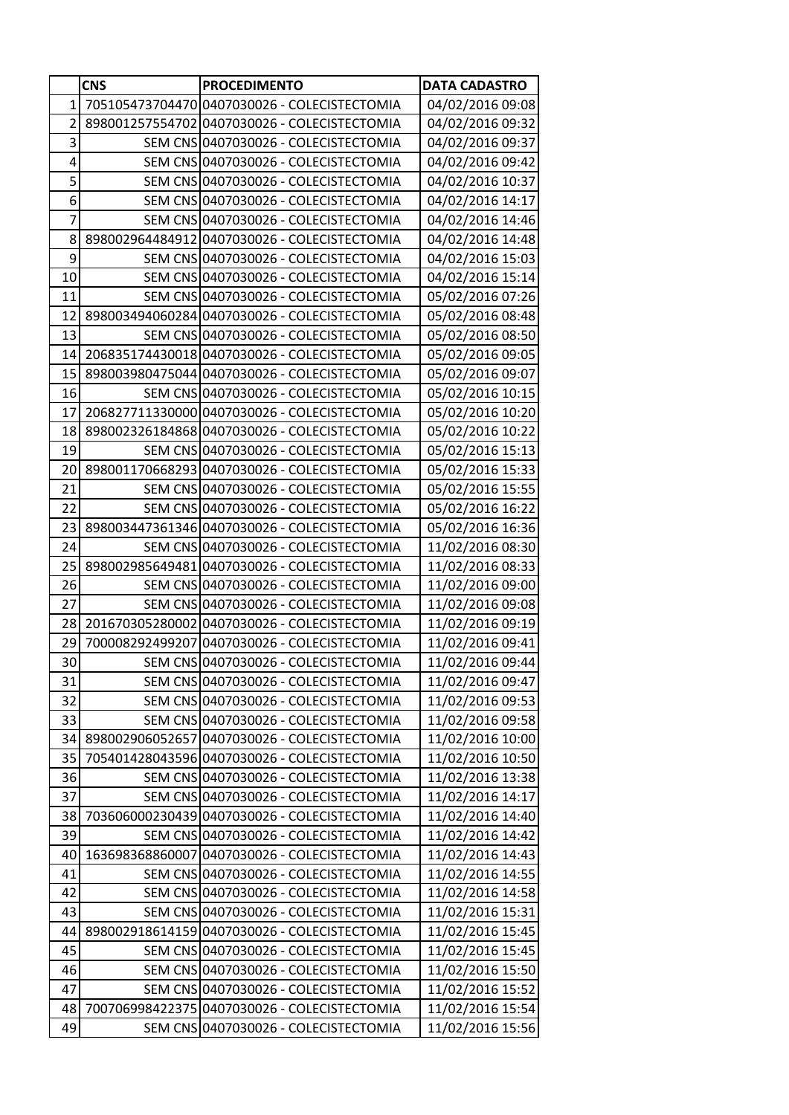|                | <b>CNS</b> | <b>PROCEDIMENTO</b>                          | <b>DATA CADASTRO</b> |
|----------------|------------|----------------------------------------------|----------------------|
| 1              |            | 705105473704470 0407030026 - COLECISTECTOMIA | 04/02/2016 09:08     |
| 2              |            | 898001257554702 0407030026 - COLECISTECTOMIA | 04/02/2016 09:32     |
| 3              |            | SEM CNS 0407030026 - COLECISTECTOMIA         | 04/02/2016 09:37     |
| 4              |            | SEM CNS 0407030026 - COLECISTECTOMIA         | 04/02/2016 09:42     |
| 5              |            | SEM CNS 0407030026 - COLECISTECTOMIA         | 04/02/2016 10:37     |
| 6              |            | SEM CNS 0407030026 - COLECISTECTOMIA         | 04/02/2016 14:17     |
| $\overline{7}$ |            | SEM CNS 0407030026 - COLECISTECTOMIA         | 04/02/2016 14:46     |
| 8              |            | 898002964484912 0407030026 - COLECISTECTOMIA | 04/02/2016 14:48     |
| 9              |            | SEM CNS 0407030026 - COLECISTECTOMIA         | 04/02/2016 15:03     |
| 10             |            | SEM CNS 0407030026 - COLECISTECTOMIA         | 04/02/2016 15:14     |
| 11             |            | SEM CNS 0407030026 - COLECISTECTOMIA         | 05/02/2016 07:26     |
| 12             |            | 898003494060284 0407030026 - COLECISTECTOMIA | 05/02/2016 08:48     |
| 13             |            | SEM CNS 0407030026 - COLECISTECTOMIA         | 05/02/2016 08:50     |
| 14             |            | 206835174430018 0407030026 - COLECISTECTOMIA | 05/02/2016 09:05     |
| 15             |            | 898003980475044 0407030026 - COLECISTECTOMIA | 05/02/2016 09:07     |
| 16             |            | SEM CNS 0407030026 - COLECISTECTOMIA         | 05/02/2016 10:15     |
| 17             |            | 206827711330000 0407030026 - COLECISTECTOMIA | 05/02/2016 10:20     |
| 18             |            | 898002326184868 0407030026 - COLECISTECTOMIA | 05/02/2016 10:22     |
| 19             |            | SEM CNS 0407030026 - COLECISTECTOMIA         | 05/02/2016 15:13     |
| 20             |            | 898001170668293 0407030026 - COLECISTECTOMIA | 05/02/2016 15:33     |
| 21             |            | SEM CNS 0407030026 - COLECISTECTOMIA         | 05/02/2016 15:55     |
| 22             |            | SEM CNS 0407030026 - COLECISTECTOMIA         | 05/02/2016 16:22     |
| 23             |            | 898003447361346 0407030026 - COLECISTECTOMIA | 05/02/2016 16:36     |
| 24             |            | SEM CNS 0407030026 - COLECISTECTOMIA         | 11/02/2016 08:30     |
| 25             |            | 898002985649481 0407030026 - COLECISTECTOMIA | 11/02/2016 08:33     |
| 26             |            | SEM CNS 0407030026 - COLECISTECTOMIA         | 11/02/2016 09:00     |
| 27             |            | SEM CNS 0407030026 - COLECISTECTOMIA         | 11/02/2016 09:08     |
| 28             |            | 201670305280002 0407030026 - COLECISTECTOMIA | 11/02/2016 09:19     |
| 29             |            | 700008292499207 0407030026 - COLECISTECTOMIA | 11/02/2016 09:41     |
| 30             |            | SEM CNS 0407030026 - COLECISTECTOMIA         | 11/02/2016 09:44     |
| 31             |            | SEM CNS 0407030026 - COLECISTECTOMIA         | 11/02/2016 09:47     |
| 32             |            | SEM CNS 0407030026 - COLECISTECTOMIA         | 11/02/2016 09:53     |
| 33             |            | SEM CNS 0407030026 - COLECISTECTOMIA         | 11/02/2016 09:58     |
| 34             |            | 898002906052657 0407030026 - COLECISTECTOMIA | 11/02/2016 10:00     |
| 35             |            | 705401428043596 0407030026 - COLECISTECTOMIA | 11/02/2016 10:50     |
| 36             |            | SEM CNS 0407030026 - COLECISTECTOMIA         | 11/02/2016 13:38     |
| 37             |            | SEM CNS 0407030026 - COLECISTECTOMIA         | 11/02/2016 14:17     |
| 38             |            | 703606000230439 0407030026 - COLECISTECTOMIA | 11/02/2016 14:40     |
| 39             |            | SEM CNS 0407030026 - COLECISTECTOMIA         | 11/02/2016 14:42     |
| 40             |            | 163698368860007 0407030026 - COLECISTECTOMIA | 11/02/2016 14:43     |
| 41             |            | SEM CNS 0407030026 - COLECISTECTOMIA         | 11/02/2016 14:55     |
| 42             |            | SEM CNS 0407030026 - COLECISTECTOMIA         | 11/02/2016 14:58     |
| 43             |            | SEM CNS 0407030026 - COLECISTECTOMIA         | 11/02/2016 15:31     |
| 44             |            | 898002918614159 0407030026 - COLECISTECTOMIA | 11/02/2016 15:45     |
| 45             |            | SEM CNS 0407030026 - COLECISTECTOMIA         | 11/02/2016 15:45     |
| 46             |            | SEM CNS 0407030026 - COLECISTECTOMIA         | 11/02/2016 15:50     |
| 47             |            | SEM CNS 0407030026 - COLECISTECTOMIA         | 11/02/2016 15:52     |
| 48             |            | 700706998422375 0407030026 - COLECISTECTOMIA | 11/02/2016 15:54     |
| 49             |            | SEM CNS 0407030026 - COLECISTECTOMIA         | 11/02/2016 15:56     |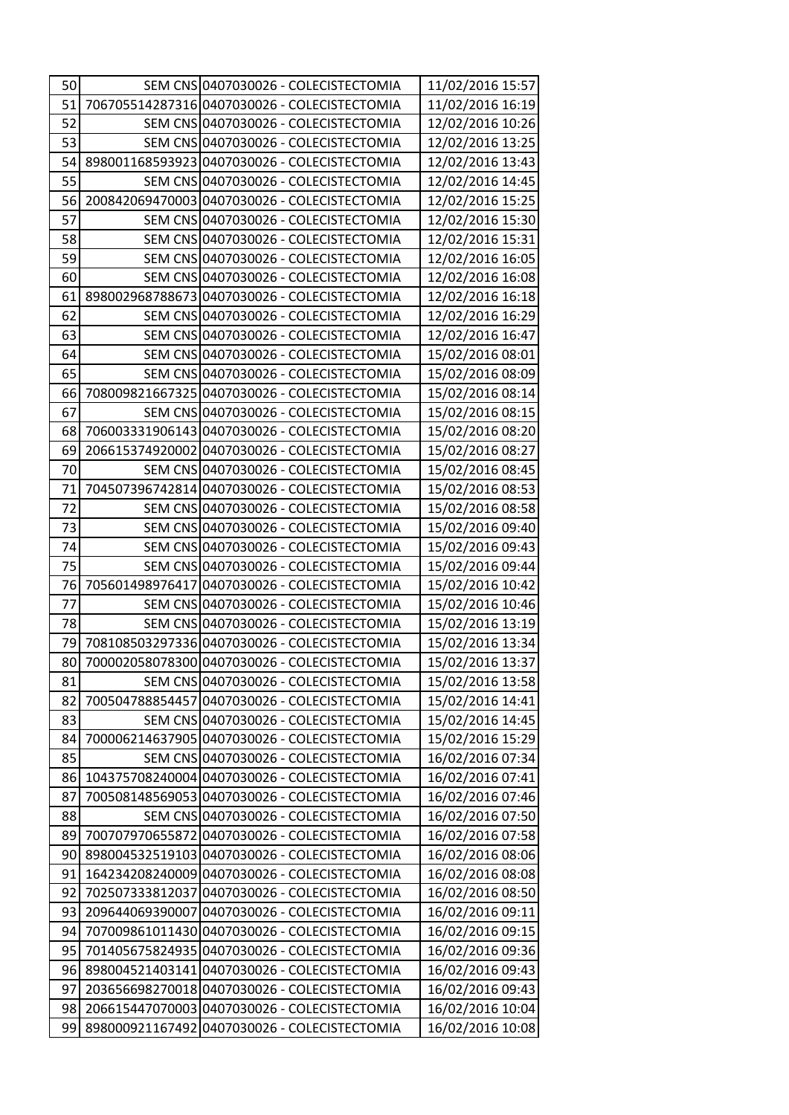| 50 |                 | SEM CNS 0407030026 - COLECISTECTOMIA         | 11/02/2016 15:57 |
|----|-----------------|----------------------------------------------|------------------|
| 51 |                 | 706705514287316 0407030026 - COLECISTECTOMIA | 11/02/2016 16:19 |
| 52 |                 | SEM CNS 0407030026 - COLECISTECTOMIA         | 12/02/2016 10:26 |
| 53 |                 | SEM CNS 0407030026 - COLECISTECTOMIA         | 12/02/2016 13:25 |
| 54 |                 | 898001168593923 0407030026 - COLECISTECTOMIA | 12/02/2016 13:43 |
| 55 |                 | SEM CNS 0407030026 - COLECISTECTOMIA         | 12/02/2016 14:45 |
| 56 |                 | 200842069470003 0407030026 - COLECISTECTOMIA | 12/02/2016 15:25 |
| 57 |                 | SEM CNS 0407030026 - COLECISTECTOMIA         | 12/02/2016 15:30 |
| 58 |                 | SEM CNS 0407030026 - COLECISTECTOMIA         | 12/02/2016 15:31 |
| 59 |                 | SEM CNS 0407030026 - COLECISTECTOMIA         | 12/02/2016 16:05 |
| 60 |                 | SEM CNS 0407030026 - COLECISTECTOMIA         | 12/02/2016 16:08 |
| 61 |                 | 898002968788673 0407030026 - COLECISTECTOMIA | 12/02/2016 16:18 |
| 62 |                 | SEM CNS 0407030026 - COLECISTECTOMIA         | 12/02/2016 16:29 |
| 63 |                 | SEM CNS 0407030026 - COLECISTECTOMIA         | 12/02/2016 16:47 |
| 64 |                 | SEM CNS 0407030026 - COLECISTECTOMIA         | 15/02/2016 08:01 |
| 65 |                 | SEM CNS 0407030026 - COLECISTECTOMIA         | 15/02/2016 08:09 |
| 66 |                 | 708009821667325 0407030026 - COLECISTECTOMIA | 15/02/2016 08:14 |
| 67 |                 | SEM CNS 0407030026 - COLECISTECTOMIA         | 15/02/2016 08:15 |
| 68 |                 | 706003331906143 0407030026 - COLECISTECTOMIA | 15/02/2016 08:20 |
| 69 |                 | 206615374920002 0407030026 - COLECISTECTOMIA | 15/02/2016 08:27 |
| 70 |                 | SEM CNS 0407030026 - COLECISTECTOMIA         | 15/02/2016 08:45 |
| 71 |                 | 704507396742814 0407030026 - COLECISTECTOMIA | 15/02/2016 08:53 |
| 72 |                 | SEM CNS 0407030026 - COLECISTECTOMIA         | 15/02/2016 08:58 |
| 73 |                 | SEM CNS 0407030026 - COLECISTECTOMIA         | 15/02/2016 09:40 |
| 74 |                 | SEM CNS 0407030026 - COLECISTECTOMIA         | 15/02/2016 09:43 |
| 75 |                 | SEM CNS 0407030026 - COLECISTECTOMIA         | 15/02/2016 09:44 |
| 76 |                 | 705601498976417 0407030026 - COLECISTECTOMIA | 15/02/2016 10:42 |
| 77 |                 | SEM CNS 0407030026 - COLECISTECTOMIA         | 15/02/2016 10:46 |
| 78 |                 | SEM CNS 0407030026 - COLECISTECTOMIA         | 15/02/2016 13:19 |
| 79 |                 | 708108503297336 0407030026 - COLECISTECTOMIA | 15/02/2016 13:34 |
| 80 |                 | 700002058078300 0407030026 - COLECISTECTOMIA | 15/02/2016 13:37 |
| 81 |                 | SEM CNS 0407030026 - COLECISTECTOMIA         | 15/02/2016 13:58 |
| 82 |                 | 700504788854457 0407030026 - COLECISTECTOMIA | 15/02/2016 14:41 |
| 83 |                 | SEM CNS 0407030026 - COLECISTECTOMIA         | 15/02/2016 14:45 |
| 84 |                 | 700006214637905 0407030026 - COLECISTECTOMIA | 15/02/2016 15:29 |
| 85 |                 | SEM CNS 0407030026 - COLECISTECTOMIA         | 16/02/2016 07:34 |
| 86 |                 | 104375708240004 0407030026 - COLECISTECTOMIA | 16/02/2016 07:41 |
| 87 |                 | 700508148569053 0407030026 - COLECISTECTOMIA | 16/02/2016 07:46 |
| 88 |                 | SEM CNS 0407030026 - COLECISTECTOMIA         | 16/02/2016 07:50 |
| 89 |                 | 700707970655872 0407030026 - COLECISTECTOMIA | 16/02/2016 07:58 |
| 90 |                 | 898004532519103 0407030026 - COLECISTECTOMIA | 16/02/2016 08:06 |
| 91 |                 | 164234208240009 0407030026 - COLECISTECTOMIA | 16/02/2016 08:08 |
| 92 |                 | 702507333812037 0407030026 - COLECISTECTOMIA | 16/02/2016 08:50 |
| 93 | 209644069390007 | 0407030026 - COLECISTECTOMIA                 | 16/02/2016 09:11 |
| 94 |                 | 707009861011430 0407030026 - COLECISTECTOMIA | 16/02/2016 09:15 |
| 95 |                 | 701405675824935 0407030026 - COLECISTECTOMIA | 16/02/2016 09:36 |
| 96 |                 | 898004521403141 0407030026 - COLECISTECTOMIA | 16/02/2016 09:43 |
| 97 |                 | 203656698270018 0407030026 - COLECISTECTOMIA | 16/02/2016 09:43 |
| 98 |                 | 206615447070003 0407030026 - COLECISTECTOMIA | 16/02/2016 10:04 |
| 99 |                 | 898000921167492 0407030026 - COLECISTECTOMIA | 16/02/2016 10:08 |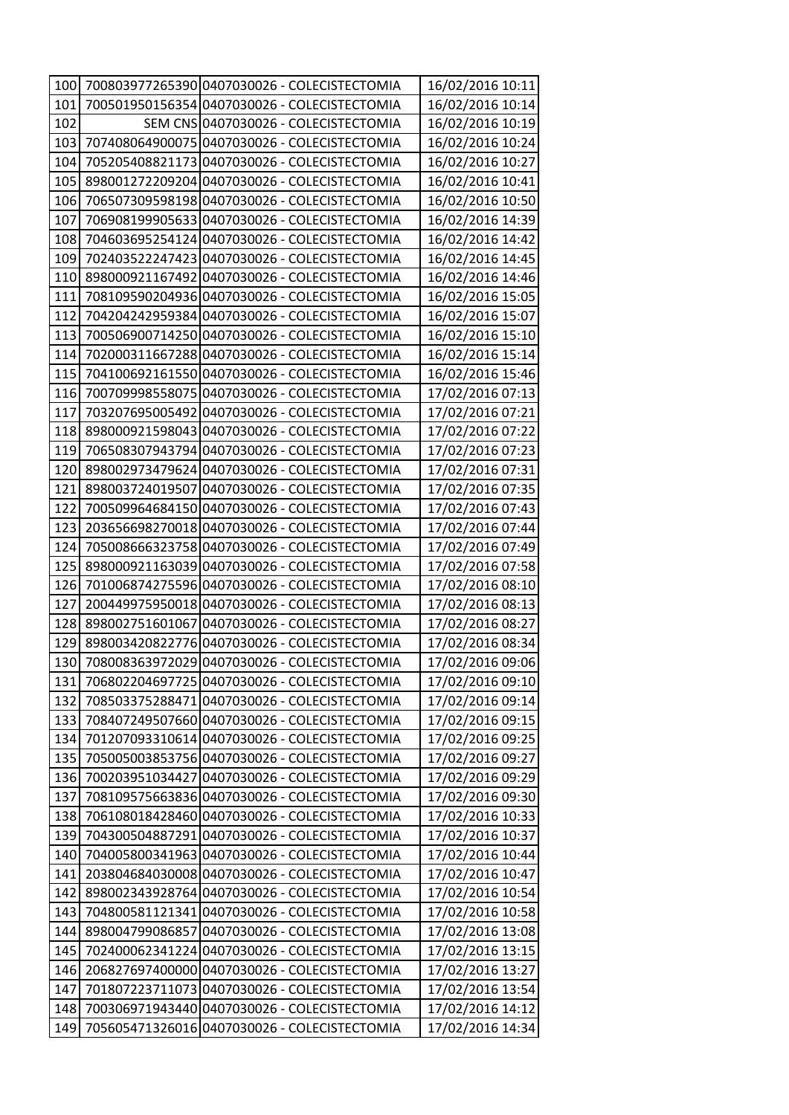| 100 |                 | 700803977265390 0407030026 - COLECISTECTOMIA     | 16/02/2016 10:11 |
|-----|-----------------|--------------------------------------------------|------------------|
| 101 |                 | 700501950156354 0407030026 - COLECISTECTOMIA     | 16/02/2016 10:14 |
| 102 |                 | SEM CNS 0407030026 - COLECISTECTOMIA             | 16/02/2016 10:19 |
| 103 |                 | 707408064900075 0407030026 - COLECISTECTOMIA     | 16/02/2016 10:24 |
| 104 |                 | 705205408821173 0407030026 - COLECISTECTOMIA     | 16/02/2016 10:27 |
| 105 |                 | 898001272209204 0407030026 - COLECISTECTOMIA     | 16/02/2016 10:41 |
| 106 |                 | 706507309598198 0407030026 - COLECISTECTOMIA     | 16/02/2016 10:50 |
| 107 |                 | 706908199905633 0407030026 - COLECISTECTOMIA     | 16/02/2016 14:39 |
| 108 |                 | 704603695254124 0407030026 - COLECISTECTOMIA     | 16/02/2016 14:42 |
| 109 |                 | 702403522247423 0407030026 - COLECISTECTOMIA     | 16/02/2016 14:45 |
| 110 |                 | 898000921167492 0407030026 - COLECISTECTOMIA     | 16/02/2016 14:46 |
| 111 |                 | 708109590204936 0407030026 - COLECISTECTOMIA     | 16/02/2016 15:05 |
| 112 |                 | 704204242959384 0407030026 - COLECISTECTOMIA     | 16/02/2016 15:07 |
| 113 |                 | 700506900714250 0407030026 - COLECISTECTOMIA     | 16/02/2016 15:10 |
| 114 |                 | 702000311667288 0407030026 - COLECISTECTOMIA     | 16/02/2016 15:14 |
| 115 |                 | 704100692161550 0407030026 - COLECISTECTOMIA     | 16/02/2016 15:46 |
| 116 |                 | 700709998558075 0407030026 - COLECISTECTOMIA     | 17/02/2016 07:13 |
| 117 |                 | 703207695005492 0407030026 - COLECISTECTOMIA     | 17/02/2016 07:21 |
| 118 |                 | 898000921598043 0407030026 - COLECISTECTOMIA     | 17/02/2016 07:22 |
| 119 |                 | 706508307943794 0407030026 - COLECISTECTOMIA     | 17/02/2016 07:23 |
| 120 |                 | 898002973479624 0407030026 - COLECISTECTOMIA     | 17/02/2016 07:31 |
| 121 |                 | 898003724019507 0407030026 - COLECISTECTOMIA     | 17/02/2016 07:35 |
| 122 |                 | 700509964684150 0407030026 - COLECISTECTOMIA     | 17/02/2016 07:43 |
| 123 |                 | 203656698270018 0407030026 - COLECISTECTOMIA     | 17/02/2016 07:44 |
| 124 |                 | 705008666323758 0407030026 - COLECISTECTOMIA     | 17/02/2016 07:49 |
| 125 |                 | 898000921163039 0407030026 - COLECISTECTOMIA     | 17/02/2016 07:58 |
| 126 |                 | 701006874275596 0407030026 - COLECISTECTOMIA     | 17/02/2016 08:10 |
| 127 |                 | 200449975950018 0407030026 - COLECISTECTOMIA     | 17/02/2016 08:13 |
| 128 |                 | 898002751601067 0407030026 - COLECISTECTOMIA     | 17/02/2016 08:27 |
| 129 |                 | 898003420822776 0407030026 - COLECISTECTOMIA     | 17/02/2016 08:34 |
|     |                 | 130 708008363972029 0407030026 - COLECISTECTOMIA | 17/02/2016 09:06 |
|     |                 | 131 706802204697725 0407030026 - COLECISTECTOMIA | 17/02/2016 09:10 |
| 132 |                 | 708503375288471 0407030026 - COLECISTECTOMIA     | 17/02/2016 09:14 |
| 133 |                 | 708407249507660 0407030026 - COLECISTECTOMIA     | 17/02/2016 09:15 |
| 134 |                 | 701207093310614 0407030026 - COLECISTECTOMIA     | 17/02/2016 09:25 |
| 135 |                 | 705005003853756 0407030026 - COLECISTECTOMIA     | 17/02/2016 09:27 |
|     |                 | 136 700203951034427 0407030026 - COLECISTECTOMIA | 17/02/2016 09:29 |
| 137 |                 | 708109575663836 0407030026 - COLECISTECTOMIA     | 17/02/2016 09:30 |
| 138 |                 | 706108018428460 0407030026 - COLECISTECTOMIA     | 17/02/2016 10:33 |
| 139 |                 | 704300504887291 0407030026 - COLECISTECTOMIA     | 17/02/2016 10:37 |
| 140 |                 | 704005800341963 0407030026 - COLECISTECTOMIA     | 17/02/2016 10:44 |
| 141 |                 | 203804684030008 0407030026 - COLECISTECTOMIA     | 17/02/2016 10:47 |
| 142 |                 | 898002343928764 0407030026 - COLECISTECTOMIA     | 17/02/2016 10:54 |
| 143 |                 | 704800581121341 0407030026 - COLECISTECTOMIA     | 17/02/2016 10:58 |
| 144 | 898004799086857 | 0407030026 - COLECISTECTOMIA                     | 17/02/2016 13:08 |
| 145 |                 | 702400062341224 0407030026 - COLECISTECTOMIA     | 17/02/2016 13:15 |
| 146 |                 | 206827697400000 0407030026 - COLECISTECTOMIA     | 17/02/2016 13:27 |
| 147 |                 | 701807223711073 0407030026 - COLECISTECTOMIA     | 17/02/2016 13:54 |
| 148 |                 | 700306971943440 0407030026 - COLECISTECTOMIA     | 17/02/2016 14:12 |
| 149 |                 | 705605471326016 0407030026 - COLECISTECTOMIA     | 17/02/2016 14:34 |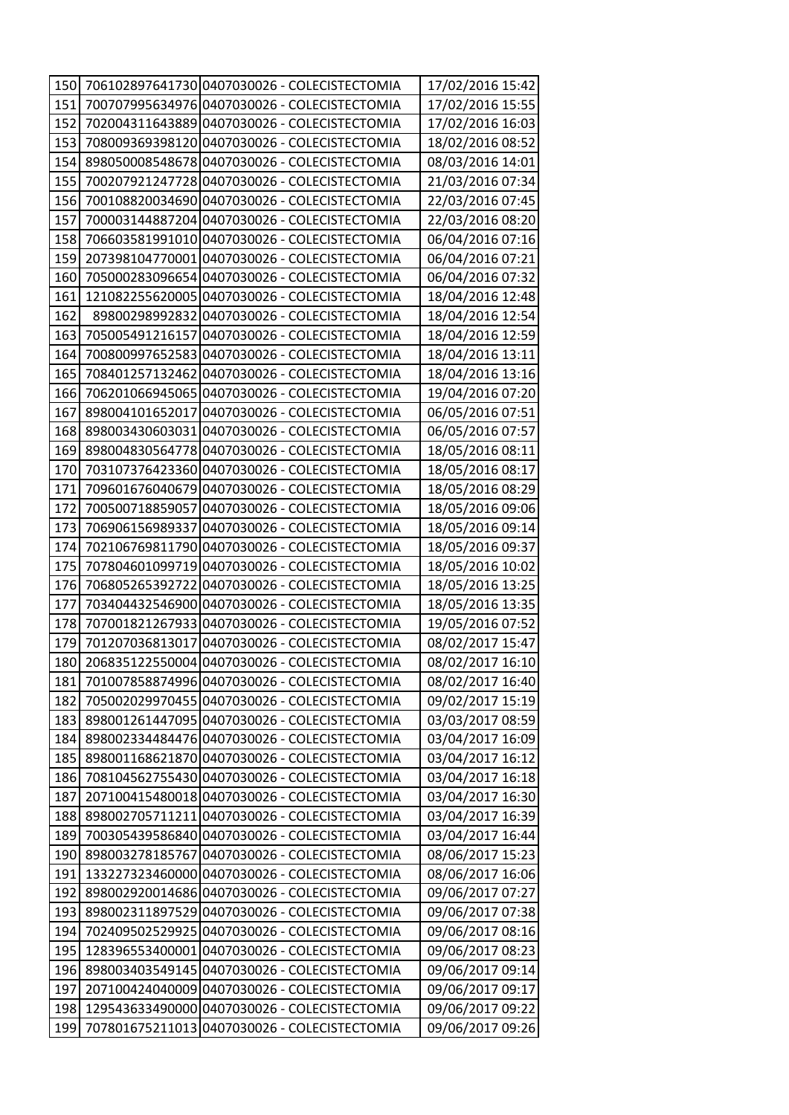| 150 |                 | 706102897641730 0407030026 - COLECISTECTOMIA | 17/02/2016 15:42 |
|-----|-----------------|----------------------------------------------|------------------|
| 151 |                 | 700707995634976 0407030026 - COLECISTECTOMIA | 17/02/2016 15:55 |
| 152 |                 | 702004311643889 0407030026 - COLECISTECTOMIA | 17/02/2016 16:03 |
| 153 |                 | 708009369398120 0407030026 - COLECISTECTOMIA | 18/02/2016 08:52 |
| 154 |                 | 898050008548678 0407030026 - COLECISTECTOMIA | 08/03/2016 14:01 |
| 155 |                 | 700207921247728 0407030026 - COLECISTECTOMIA | 21/03/2016 07:34 |
| 156 |                 | 700108820034690 0407030026 - COLECISTECTOMIA | 22/03/2016 07:45 |
| 157 | 700003144887204 | 0407030026 - COLECISTECTOMIA                 | 22/03/2016 08:20 |
| 158 |                 | 706603581991010 0407030026 - COLECISTECTOMIA | 06/04/2016 07:16 |
| 159 | 207398104770001 | 0407030026 - COLECISTECTOMIA                 | 06/04/2016 07:21 |
| 160 |                 | 705000283096654 0407030026 - COLECISTECTOMIA | 06/04/2016 07:32 |
| 161 |                 | 121082255620005 0407030026 - COLECISTECTOMIA | 18/04/2016 12:48 |
| 162 | 89800298992832  | 0407030026 - COLECISTECTOMIA                 | 18/04/2016 12:54 |
| 163 | 705005491216157 | 0407030026 - COLECISTECTOMIA                 | 18/04/2016 12:59 |
| 164 | 700800997652583 | 0407030026 - COLECISTECTOMIA                 | 18/04/2016 13:11 |
| 165 |                 | 708401257132462 0407030026 - COLECISTECTOMIA | 18/04/2016 13:16 |
| 166 |                 | 706201066945065 0407030026 - COLECISTECTOMIA | 19/04/2016 07:20 |
| 167 | 898004101652017 | 0407030026 - COLECISTECTOMIA                 | 06/05/2016 07:51 |
| 168 |                 | 8980034306030310407030026 - COLECISTECTOMIA  | 06/05/2016 07:57 |
| 169 |                 | 898004830564778 0407030026 - COLECISTECTOMIA | 18/05/2016 08:11 |
| 170 |                 | 703107376423360 0407030026 - COLECISTECTOMIA | 18/05/2016 08:17 |
| 171 |                 | 709601676040679 0407030026 - COLECISTECTOMIA | 18/05/2016 08:29 |
| 172 |                 | 700500718859057 0407030026 - COLECISTECTOMIA | 18/05/2016 09:06 |
| 173 |                 | 706906156989337 0407030026 - COLECISTECTOMIA | 18/05/2016 09:14 |
| 174 |                 | 702106769811790 0407030026 - COLECISTECTOMIA | 18/05/2016 09:37 |
| 175 |                 | 707804601099719 0407030026 - COLECISTECTOMIA | 18/05/2016 10:02 |
| 176 | 706805265392722 | 0407030026 - COLECISTECTOMIA                 | 18/05/2016 13:25 |
| 177 | 703404432546900 | 0407030026 - COLECISTECTOMIA                 | 18/05/2016 13:35 |
| 178 | 707001821267933 | 0407030026 - COLECISTECTOMIA                 | 19/05/2016 07:52 |
| 179 | 701207036813017 | 0407030026 - COLECISTECTOMIA                 | 08/02/2017 15:47 |
| 180 |                 | 206835122550004 0407030026 - COLECISTECTOMIA | 08/02/2017 16:10 |
| 181 |                 | 701007858874996 0407030026 - COLECISTECTOMIA | 08/02/2017 16:40 |
| 182 |                 | 705002029970455 0407030026 - COLECISTECTOMIA | 09/02/2017 15:19 |
| 183 |                 | 898001261447095 0407030026 - COLECISTECTOMIA | 03/03/2017 08:59 |
| 184 |                 | 898002334484476 0407030026 - COLECISTECTOMIA | 03/04/2017 16:09 |
| 185 |                 | 898001168621870 0407030026 - COLECISTECTOMIA | 03/04/2017 16:12 |
| 186 |                 | 708104562755430 0407030026 - COLECISTECTOMIA | 03/04/2017 16:18 |
| 187 |                 | 207100415480018 0407030026 - COLECISTECTOMIA | 03/04/2017 16:30 |
| 188 |                 | 898002705711211 0407030026 - COLECISTECTOMIA | 03/04/2017 16:39 |
| 189 |                 | 700305439586840 0407030026 - COLECISTECTOMIA | 03/04/2017 16:44 |
| 190 |                 | 898003278185767 0407030026 - COLECISTECTOMIA | 08/06/2017 15:23 |
| 191 |                 | 133227323460000 0407030026 - COLECISTECTOMIA | 08/06/2017 16:06 |
| 192 |                 | 898002920014686 0407030026 - COLECISTECTOMIA | 09/06/2017 07:27 |
| 193 |                 | 898002311897529 0407030026 - COLECISTECTOMIA | 09/06/2017 07:38 |
| 194 |                 | 702409502529925 0407030026 - COLECISTECTOMIA | 09/06/2017 08:16 |
| 195 |                 | 128396553400001 0407030026 - COLECISTECTOMIA | 09/06/2017 08:23 |
| 196 |                 | 898003403549145 0407030026 - COLECISTECTOMIA | 09/06/2017 09:14 |
| 197 |                 | 207100424040009 0407030026 - COLECISTECTOMIA | 09/06/2017 09:17 |
| 198 |                 | 129543633490000 0407030026 - COLECISTECTOMIA | 09/06/2017 09:22 |
| 199 |                 | 707801675211013 0407030026 - COLECISTECTOMIA | 09/06/2017 09:26 |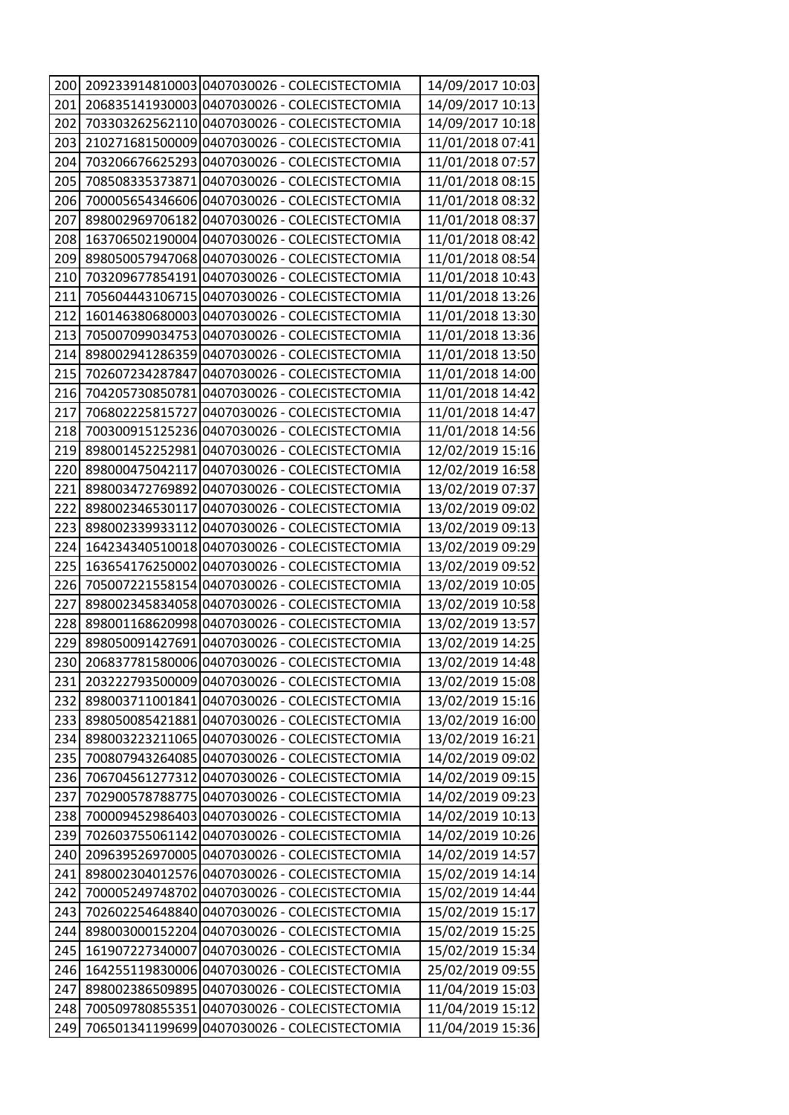| 200         |                 | 209233914810003 0407030026 - COLECISTECTOMIA | 14/09/2017 10:03 |
|-------------|-----------------|----------------------------------------------|------------------|
| 201         |                 | 206835141930003 0407030026 - COLECISTECTOMIA | 14/09/2017 10:13 |
| 202         |                 | 703303262562110 0407030026 - COLECISTECTOMIA | 14/09/2017 10:18 |
| 203         |                 | 210271681500009 0407030026 - COLECISTECTOMIA | 11/01/2018 07:41 |
| 204         |                 | 703206676625293 0407030026 - COLECISTECTOMIA | 11/01/2018 07:57 |
| 205         |                 | 708508335373871 0407030026 - COLECISTECTOMIA | 11/01/2018 08:15 |
| 206         |                 | 700005654346606 0407030026 - COLECISTECTOMIA | 11/01/2018 08:32 |
| <b>2071</b> |                 | 898002969706182 0407030026 - COLECISTECTOMIA | 11/01/2018 08:37 |
| 208         |                 | 163706502190004 0407030026 - COLECISTECTOMIA | 11/01/2018 08:42 |
| 209         |                 | 898050057947068 0407030026 - COLECISTECTOMIA | 11/01/2018 08:54 |
| 210         |                 | 703209677854191 0407030026 - COLECISTECTOMIA | 11/01/2018 10:43 |
| 211         |                 | 705604443106715 0407030026 - COLECISTECTOMIA | 11/01/2018 13:26 |
| 212         |                 | 160146380680003 0407030026 - COLECISTECTOMIA | 11/01/2018 13:30 |
| 213         |                 | 705007099034753 0407030026 - COLECISTECTOMIA | 11/01/2018 13:36 |
| 214         |                 | 898002941286359 0407030026 - COLECISTECTOMIA | 11/01/2018 13:50 |
| 215         |                 | 702607234287847 0407030026 - COLECISTECTOMIA | 11/01/2018 14:00 |
| 216         | 704205730850781 | 0407030026 - COLECISTECTOMIA                 | 11/01/2018 14:42 |
| 217         | 706802225815727 | 0407030026 - COLECISTECTOMIA                 | 11/01/2018 14:47 |
| 218         |                 | 700300915125236 0407030026 - COLECISTECTOMIA | 11/01/2018 14:56 |
| 219         |                 | 898001452252981 0407030026 - COLECISTECTOMIA | 12/02/2019 15:16 |
| 220         | 898000475042117 | 0407030026 - COLECISTECTOMIA                 | 12/02/2019 16:58 |
| 221         | 898003472769892 | 0407030026 - COLECISTECTOMIA                 | 13/02/2019 07:37 |
| 222         | 898002346530117 | 0407030026 - COLECISTECTOMIA                 | 13/02/2019 09:02 |
| 223         | 898002339933112 | 0407030026 - COLECISTECTOMIA                 | 13/02/2019 09:13 |
| 224         |                 | 164234340510018 0407030026 - COLECISTECTOMIA | 13/02/2019 09:29 |
| 225         |                 | 163654176250002 0407030026 - COLECISTECTOMIA | 13/02/2019 09:52 |
| 226         | 705007221558154 | 0407030026 - COLECISTECTOMIA                 | 13/02/2019 10:05 |
| 227         |                 | 898002345834058 0407030026 - COLECISTECTOMIA | 13/02/2019 10:58 |
| 228         |                 | 898001168620998 0407030026 - COLECISTECTOMIA | 13/02/2019 13:57 |
| 229         |                 | 898050091427691 0407030026 - COLECISTECTOMIA | 13/02/2019 14:25 |
| 230         |                 | 206837781580006 0407030026 - COLECISTECTOMIA | 13/02/2019 14:48 |
| 231         |                 | 203222793500009 0407030026 - COLECISTECTOMIA | 13/02/2019 15:08 |
| 232         |                 | 898003711001841 0407030026 - COLECISTECTOMIA | 13/02/2019 15:16 |
| 233         |                 | 898050085421881 0407030026 - COLECISTECTOMIA | 13/02/2019 16:00 |
| 234         |                 | 898003223211065 0407030026 - COLECISTECTOMIA | 13/02/2019 16:21 |
| 235         |                 | 700807943264085 0407030026 - COLECISTECTOMIA | 14/02/2019 09:02 |
| 236         |                 | 706704561277312 0407030026 - COLECISTECTOMIA | 14/02/2019 09:15 |
| 237         |                 | 702900578788775 0407030026 - COLECISTECTOMIA | 14/02/2019 09:23 |
| 238         |                 | 700009452986403 0407030026 - COLECISTECTOMIA | 14/02/2019 10:13 |
| 239         |                 | 702603755061142 0407030026 - COLECISTECTOMIA | 14/02/2019 10:26 |
| 240         |                 | 209639526970005 0407030026 - COLECISTECTOMIA | 14/02/2019 14:57 |
| 241         |                 | 898002304012576 0407030026 - COLECISTECTOMIA | 15/02/2019 14:14 |
| 242         |                 | 700005249748702 0407030026 - COLECISTECTOMIA | 15/02/2019 14:44 |
| 243         | 702602254648840 | 0407030026 - COLECISTECTOMIA                 | 15/02/2019 15:17 |
| 244         |                 | 898003000152204 0407030026 - COLECISTECTOMIA | 15/02/2019 15:25 |
| 245         |                 | 161907227340007 0407030026 - COLECISTECTOMIA | 15/02/2019 15:34 |
| 246         |                 | 164255119830006 0407030026 - COLECISTECTOMIA | 25/02/2019 09:55 |
| 247         |                 | 898002386509895 0407030026 - COLECISTECTOMIA | 11/04/2019 15:03 |
| 248         |                 | 700509780855351 0407030026 - COLECISTECTOMIA | 11/04/2019 15:12 |
| 249         |                 | 706501341199699 0407030026 - COLECISTECTOMIA | 11/04/2019 15:36 |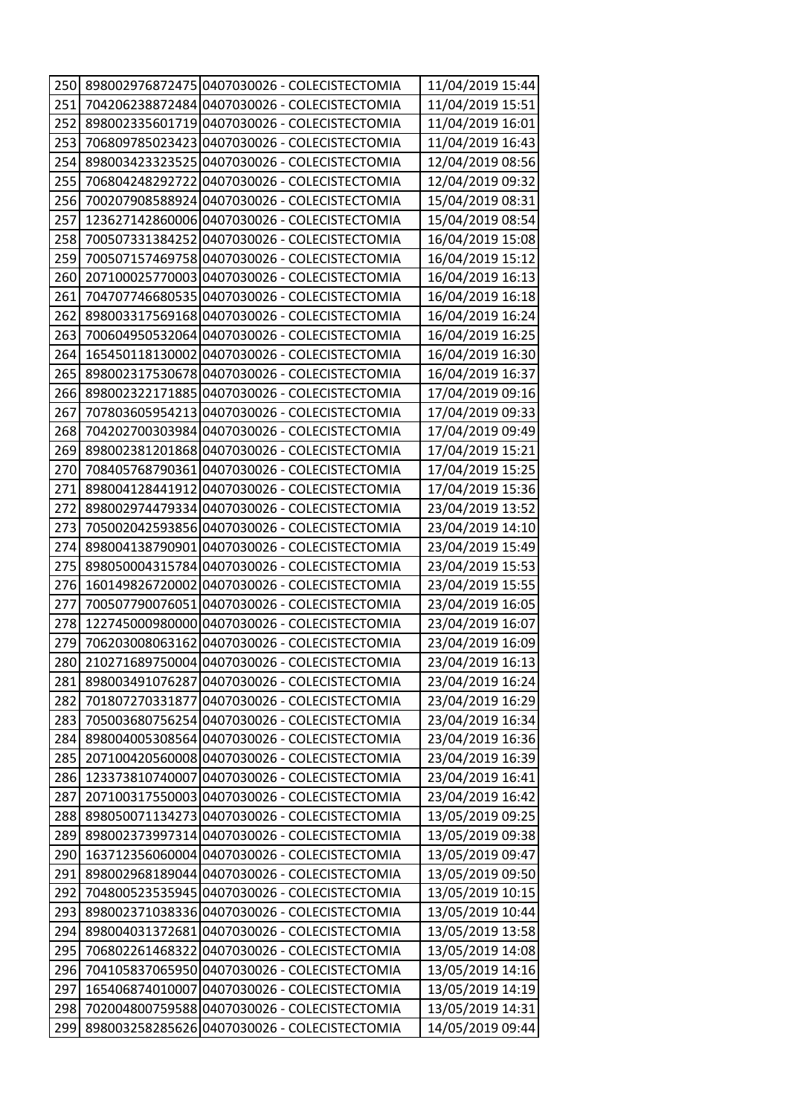| 250  |                 | 898002976872475 0407030026 - COLECISTECTOMIA | 11/04/2019 15:44 |
|------|-----------------|----------------------------------------------|------------------|
| 251  |                 | 704206238872484 0407030026 - COLECISTECTOMIA | 11/04/2019 15:51 |
| 252  |                 | 898002335601719 0407030026 - COLECISTECTOMIA | 11/04/2019 16:01 |
| 253  |                 | 706809785023423 0407030026 - COLECISTECTOMIA | 11/04/2019 16:43 |
| 254  |                 | 898003423323525 0407030026 - COLECISTECTOMIA | 12/04/2019 08:56 |
| 255  |                 | 706804248292722 0407030026 - COLECISTECTOMIA | 12/04/2019 09:32 |
| 256  |                 | 700207908588924 0407030026 - COLECISTECTOMIA | 15/04/2019 08:31 |
| 257  |                 | 123627142860006 0407030026 - COLECISTECTOMIA | 15/04/2019 08:54 |
| 258  |                 | 700507331384252 0407030026 - COLECISTECTOMIA | 16/04/2019 15:08 |
| 259  |                 | 700507157469758 0407030026 - COLECISTECTOMIA | 16/04/2019 15:12 |
| 260  |                 | 207100025770003 0407030026 - COLECISTECTOMIA | 16/04/2019 16:13 |
| 261  |                 | 704707746680535 0407030026 - COLECISTECTOMIA | 16/04/2019 16:18 |
| 262  |                 | 898003317569168 0407030026 - COLECISTECTOMIA | 16/04/2019 16:24 |
| 263  |                 | 700604950532064 0407030026 - COLECISTECTOMIA | 16/04/2019 16:25 |
| 264  |                 | 165450118130002 0407030026 - COLECISTECTOMIA | 16/04/2019 16:30 |
| 265  |                 | 898002317530678 0407030026 - COLECISTECTOMIA | 16/04/2019 16:37 |
| 266  |                 | 898002322171885 0407030026 - COLECISTECTOMIA | 17/04/2019 09:16 |
| 267  |                 | 707803605954213 0407030026 - COLECISTECTOMIA | 17/04/2019 09:33 |
| 268  |                 | 704202700303984 0407030026 - COLECISTECTOMIA | 17/04/2019 09:49 |
| 269  |                 | 898002381201868 0407030026 - COLECISTECTOMIA | 17/04/2019 15:21 |
| 270  |                 | 708405768790361 0407030026 - COLECISTECTOMIA | 17/04/2019 15:25 |
| 271  |                 | 898004128441912 0407030026 - COLECISTECTOMIA | 17/04/2019 15:36 |
| 272  |                 | 898002974479334 0407030026 - COLECISTECTOMIA | 23/04/2019 13:52 |
| 273  |                 | 705002042593856 0407030026 - COLECISTECTOMIA | 23/04/2019 14:10 |
| 274  |                 | 898004138790901 0407030026 - COLECISTECTOMIA | 23/04/2019 15:49 |
| 275  |                 | 898050004315784 0407030026 - COLECISTECTOMIA | 23/04/2019 15:53 |
| 276I |                 | 160149826720002 0407030026 - COLECISTECTOMIA | 23/04/2019 15:55 |
| 277  |                 | 700507790076051 0407030026 - COLECISTECTOMIA | 23/04/2019 16:05 |
| 278  |                 | 122745000980000 0407030026 - COLECISTECTOMIA | 23/04/2019 16:07 |
| 279  |                 | 706203008063162 0407030026 - COLECISTECTOMIA | 23/04/2019 16:09 |
| 280  |                 | 210271689750004 0407030026 - COLECISTECTOMIA | 23/04/2019 16:13 |
| 281  |                 | 898003491076287 0407030026 - COLECISTECTOMIA | 23/04/2019 16:24 |
| 282  | 701807270331877 | 0407030026 - COLECISTECTOMIA                 | 23/04/2019 16:29 |
| 283  |                 | 705003680756254 0407030026 - COLECISTECTOMIA | 23/04/2019 16:34 |
| 284  |                 | 898004005308564 0407030026 - COLECISTECTOMIA | 23/04/2019 16:36 |
| 285  |                 | 207100420560008 0407030026 - COLECISTECTOMIA | 23/04/2019 16:39 |
| 286  |                 | 123373810740007 0407030026 - COLECISTECTOMIA | 23/04/2019 16:41 |
| 287  |                 | 207100317550003 0407030026 - COLECISTECTOMIA | 23/04/2019 16:42 |
| 288  |                 | 898050071134273 0407030026 - COLECISTECTOMIA | 13/05/2019 09:25 |
| 289  |                 | 898002373997314 0407030026 - COLECISTECTOMIA | 13/05/2019 09:38 |
| 290  |                 | 163712356060004 0407030026 - COLECISTECTOMIA | 13/05/2019 09:47 |
| 291  |                 | 898002968189044 0407030026 - COLECISTECTOMIA | 13/05/2019 09:50 |
| 292  |                 | 704800523535945 0407030026 - COLECISTECTOMIA | 13/05/2019 10:15 |
| 293  |                 | 898002371038336 0407030026 - COLECISTECTOMIA | 13/05/2019 10:44 |
| 294  |                 | 898004031372681 0407030026 - COLECISTECTOMIA | 13/05/2019 13:58 |
| 295  |                 | 706802261468322 0407030026 - COLECISTECTOMIA | 13/05/2019 14:08 |
| 296  |                 | 704105837065950 0407030026 - COLECISTECTOMIA | 13/05/2019 14:16 |
| 297  |                 | 165406874010007 0407030026 - COLECISTECTOMIA | 13/05/2019 14:19 |
| 298  |                 | 702004800759588 0407030026 - COLECISTECTOMIA | 13/05/2019 14:31 |
| 299  |                 | 898003258285626 0407030026 - COLECISTECTOMIA | 14/05/2019 09:44 |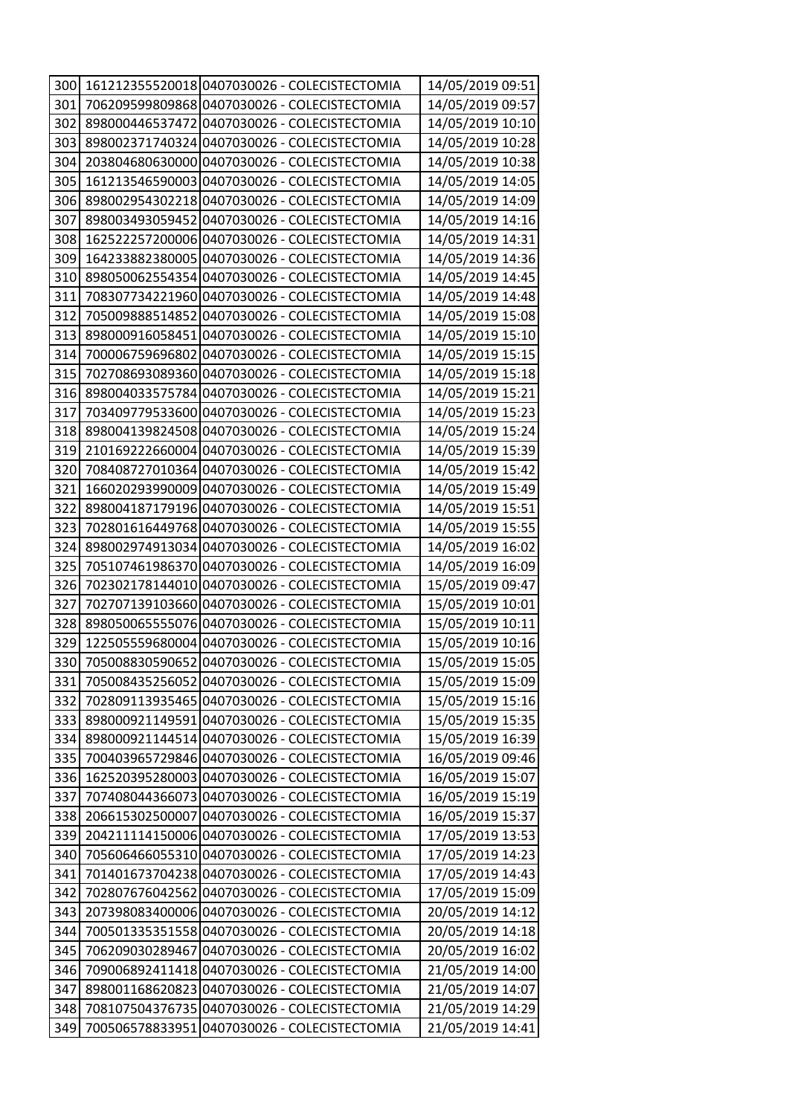| 300  |                 | 161212355520018 0407030026 - COLECISTECTOMIA | 14/05/2019 09:51 |
|------|-----------------|----------------------------------------------|------------------|
| 301  |                 | 706209599809868 0407030026 - COLECISTECTOMIA | 14/05/2019 09:57 |
| 302  |                 | 898000446537472 0407030026 - COLECISTECTOMIA | 14/05/2019 10:10 |
| 303  |                 | 898002371740324 0407030026 - COLECISTECTOMIA | 14/05/2019 10:28 |
| 304  |                 | 203804680630000 0407030026 - COLECISTECTOMIA | 14/05/2019 10:38 |
| 305  |                 | 161213546590003 0407030026 - COLECISTECTOMIA | 14/05/2019 14:05 |
| 306  |                 | 898002954302218 0407030026 - COLECISTECTOMIA | 14/05/2019 14:09 |
| 307  |                 | 898003493059452 0407030026 - COLECISTECTOMIA | 14/05/2019 14:16 |
| 308  |                 | 162522257200006 0407030026 - COLECISTECTOMIA | 14/05/2019 14:31 |
| 309  |                 | 164233882380005 0407030026 - COLECISTECTOMIA | 14/05/2019 14:36 |
| 310  |                 | 898050062554354 0407030026 - COLECISTECTOMIA | 14/05/2019 14:45 |
| 311  |                 | 708307734221960 0407030026 - COLECISTECTOMIA | 14/05/2019 14:48 |
| 312  | 705009888514852 | 0407030026 - COLECISTECTOMIA                 | 14/05/2019 15:08 |
| 313  |                 | 898000916058451 0407030026 - COLECISTECTOMIA | 14/05/2019 15:10 |
| 314  | 700006759696802 | 0407030026 - COLECISTECTOMIA                 | 14/05/2019 15:15 |
| 315  |                 | 702708693089360 0407030026 - COLECISTECTOMIA | 14/05/2019 15:18 |
| 316  |                 | 898004033575784 0407030026 - COLECISTECTOMIA | 14/05/2019 15:21 |
| 317  | 703409779533600 | 0407030026 - COLECISTECTOMIA                 | 14/05/2019 15:23 |
| 318  |                 | 898004139824508 0407030026 - COLECISTECTOMIA | 14/05/2019 15:24 |
| 319  |                 | 210169222660004 0407030026 - COLECISTECTOMIA | 14/05/2019 15:39 |
| 320  |                 | 708408727010364 0407030026 - COLECISTECTOMIA | 14/05/2019 15:42 |
| 321  |                 | 166020293990009 0407030026 - COLECISTECTOMIA | 14/05/2019 15:49 |
| 322  |                 | 898004187179196 0407030026 - COLECISTECTOMIA | 14/05/2019 15:51 |
| 323  |                 | 702801616449768 0407030026 - COLECISTECTOMIA | 14/05/2019 15:55 |
| 324I |                 | 898002974913034 0407030026 - COLECISTECTOMIA | 14/05/2019 16:02 |
| 325  |                 | 705107461986370 0407030026 - COLECISTECTOMIA | 14/05/2019 16:09 |
| 326  | 702302178144010 | 0407030026 - COLECISTECTOMIA                 | 15/05/2019 09:47 |
| 327  |                 | 702707139103660 0407030026 - COLECISTECTOMIA | 15/05/2019 10:01 |
| 328  |                 | 898050065555076 0407030026 - COLECISTECTOMIA | 15/05/2019 10:11 |
| 329  |                 | 122505559680004 0407030026 - COLECISTECTOMIA | 15/05/2019 10:16 |
| 330  |                 | 705008830590652 0407030026 - COLECISTECTOMIA | 15/05/2019 15:05 |
| 331  |                 | 705008435256052 0407030026 - COLECISTECTOMIA | 15/05/2019 15:09 |
| 332  |                 | 702809113935465 0407030026 - COLECISTECTOMIA | 15/05/2019 15:16 |
| 333  |                 | 898000921149591 0407030026 - COLECISTECTOMIA | 15/05/2019 15:35 |
| 334  |                 | 898000921144514 0407030026 - COLECISTECTOMIA | 15/05/2019 16:39 |
| 335  |                 | 700403965729846 0407030026 - COLECISTECTOMIA | 16/05/2019 09:46 |
| 336  |                 | 162520395280003 0407030026 - COLECISTECTOMIA | 16/05/2019 15:07 |
| 337  |                 | 707408044366073 0407030026 - COLECISTECTOMIA | 16/05/2019 15:19 |
| 338  |                 | 206615302500007 0407030026 - COLECISTECTOMIA | 16/05/2019 15:37 |
| 339  |                 | 204211114150006 0407030026 - COLECISTECTOMIA | 17/05/2019 13:53 |
| 340  |                 | 705606466055310 0407030026 - COLECISTECTOMIA | 17/05/2019 14:23 |
| 341  |                 | 701401673704238 0407030026 - COLECISTECTOMIA | 17/05/2019 14:43 |
| 342  |                 | 702807676042562 0407030026 - COLECISTECTOMIA | 17/05/2019 15:09 |
| 343  |                 | 207398083400006 0407030026 - COLECISTECTOMIA | 20/05/2019 14:12 |
| 344  |                 | 700501335351558 0407030026 - COLECISTECTOMIA | 20/05/2019 14:18 |
| 345  | 706209030289467 | 0407030026 - COLECISTECTOMIA                 | 20/05/2019 16:02 |
| 346  |                 | 709006892411418 0407030026 - COLECISTECTOMIA | 21/05/2019 14:00 |
| 347  |                 | 898001168620823 0407030026 - COLECISTECTOMIA | 21/05/2019 14:07 |
| 348  |                 | 708107504376735 0407030026 - COLECISTECTOMIA | 21/05/2019 14:29 |
| 349  |                 | 700506578833951 0407030026 - COLECISTECTOMIA | 21/05/2019 14:41 |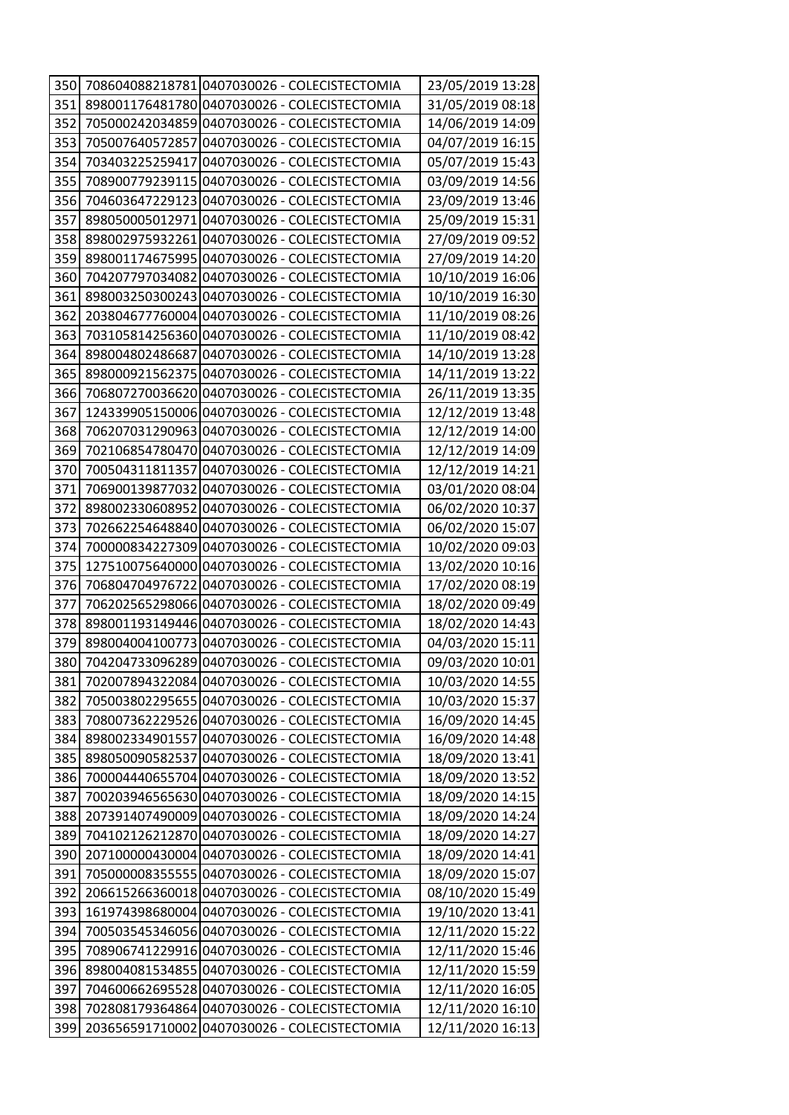| 350  |                 | 708604088218781 0407030026 - COLECISTECTOMIA | 23/05/2019 13:28 |
|------|-----------------|----------------------------------------------|------------------|
| 351  |                 | 898001176481780 0407030026 - COLECISTECTOMIA | 31/05/2019 08:18 |
| 352  |                 | 705000242034859 0407030026 - COLECISTECTOMIA | 14/06/2019 14:09 |
| 353  |                 | 705007640572857 0407030026 - COLECISTECTOMIA | 04/07/2019 16:15 |
| 354  |                 | 703403225259417 0407030026 - COLECISTECTOMIA | 05/07/2019 15:43 |
| 355  |                 | 708900779239115 0407030026 - COLECISTECTOMIA | 03/09/2019 14:56 |
| 356  |                 | 704603647229123 0407030026 - COLECISTECTOMIA | 23/09/2019 13:46 |
| 357  |                 | 898050005012971 0407030026 - COLECISTECTOMIA | 25/09/2019 15:31 |
| 358  |                 | 898002975932261 0407030026 - COLECISTECTOMIA | 27/09/2019 09:52 |
| 359  |                 | 898001174675995 0407030026 - COLECISTECTOMIA | 27/09/2019 14:20 |
| 360  |                 | 704207797034082 0407030026 - COLECISTECTOMIA | 10/10/2019 16:06 |
| 361  |                 | 898003250300243 0407030026 - COLECISTECTOMIA | 10/10/2019 16:30 |
| 362  |                 | 203804677760004 0407030026 - COLECISTECTOMIA | 11/10/2019 08:26 |
| 363  |                 | 703105814256360 0407030026 - COLECISTECTOMIA | 11/10/2019 08:42 |
| 364  |                 | 898004802486687 0407030026 - COLECISTECTOMIA | 14/10/2019 13:28 |
| 365  |                 | 898000921562375 0407030026 - COLECISTECTOMIA | 14/11/2019 13:22 |
| 366  |                 | 706807270036620 0407030026 - COLECISTECTOMIA | 26/11/2019 13:35 |
| 367  |                 | 124339905150006 0407030026 - COLECISTECTOMIA | 12/12/2019 13:48 |
| 368  |                 | 706207031290963 0407030026 - COLECISTECTOMIA | 12/12/2019 14:00 |
| 369  |                 | 702106854780470 0407030026 - COLECISTECTOMIA | 12/12/2019 14:09 |
| 370  |                 | 700504311811357 0407030026 - COLECISTECTOMIA | 12/12/2019 14:21 |
| 371  |                 | 706900139877032 0407030026 - COLECISTECTOMIA | 03/01/2020 08:04 |
| 372  |                 | 898002330608952 0407030026 - COLECISTECTOMIA | 06/02/2020 10:37 |
| 373  |                 | 702662254648840 0407030026 - COLECISTECTOMIA | 06/02/2020 15:07 |
| 374  |                 | 700000834227309 0407030026 - COLECISTECTOMIA | 10/02/2020 09:03 |
| 375  |                 | 127510075640000 0407030026 - COLECISTECTOMIA | 13/02/2020 10:16 |
| 376I | 706804704976722 | 0407030026 - COLECISTECTOMIA                 | 17/02/2020 08:19 |
| 377  |                 | 706202565298066 0407030026 - COLECISTECTOMIA | 18/02/2020 09:49 |
| 378  |                 | 898001193149446 0407030026 - COLECISTECTOMIA | 18/02/2020 14:43 |
| 379  |                 | 898004004100773 0407030026 - COLECISTECTOMIA | 04/03/2020 15:11 |
| 380  |                 | 704204733096289 0407030026 - COLECISTECTOMIA | 09/03/2020 10:01 |
| 381  |                 | 702007894322084 0407030026 - COLECISTECTOMIA | 10/03/2020 14:55 |
| 382  |                 | 705003802295655 0407030026 - COLECISTECTOMIA | 10/03/2020 15:37 |
| 383  |                 | 708007362229526 0407030026 - COLECISTECTOMIA | 16/09/2020 14:45 |
| 384  |                 | 898002334901557 0407030026 - COLECISTECTOMIA | 16/09/2020 14:48 |
| 385  | 898050090582537 | 0407030026 - COLECISTECTOMIA                 | 18/09/2020 13:41 |
| 386  |                 | 700004440655704 0407030026 - COLECISTECTOMIA | 18/09/2020 13:52 |
| 387  |                 | 700203946565630 0407030026 - COLECISTECTOMIA | 18/09/2020 14:15 |
| 388  |                 | 207391407490009 0407030026 - COLECISTECTOMIA | 18/09/2020 14:24 |
| 389  |                 | 704102126212870 0407030026 - COLECISTECTOMIA | 18/09/2020 14:27 |
| 390  |                 | 207100000430004 0407030026 - COLECISTECTOMIA | 18/09/2020 14:41 |
| 391  |                 | 705000008355555 0407030026 - COLECISTECTOMIA | 18/09/2020 15:07 |
| 392  |                 | 206615266360018 0407030026 - COLECISTECTOMIA | 08/10/2020 15:49 |
| 393  |                 | 161974398680004 0407030026 - COLECISTECTOMIA | 19/10/2020 13:41 |
| 394  |                 | 700503545346056 0407030026 - COLECISTECTOMIA | 12/11/2020 15:22 |
| 395  |                 | 708906741229916 0407030026 - COLECISTECTOMIA | 12/11/2020 15:46 |
| 396  |                 | 898004081534855 0407030026 - COLECISTECTOMIA | 12/11/2020 15:59 |
| 397  |                 | 704600662695528 0407030026 - COLECISTECTOMIA | 12/11/2020 16:05 |
| 398  |                 | 702808179364864 0407030026 - COLECISTECTOMIA | 12/11/2020 16:10 |
| 399  |                 | 203656591710002 0407030026 - COLECISTECTOMIA | 12/11/2020 16:13 |